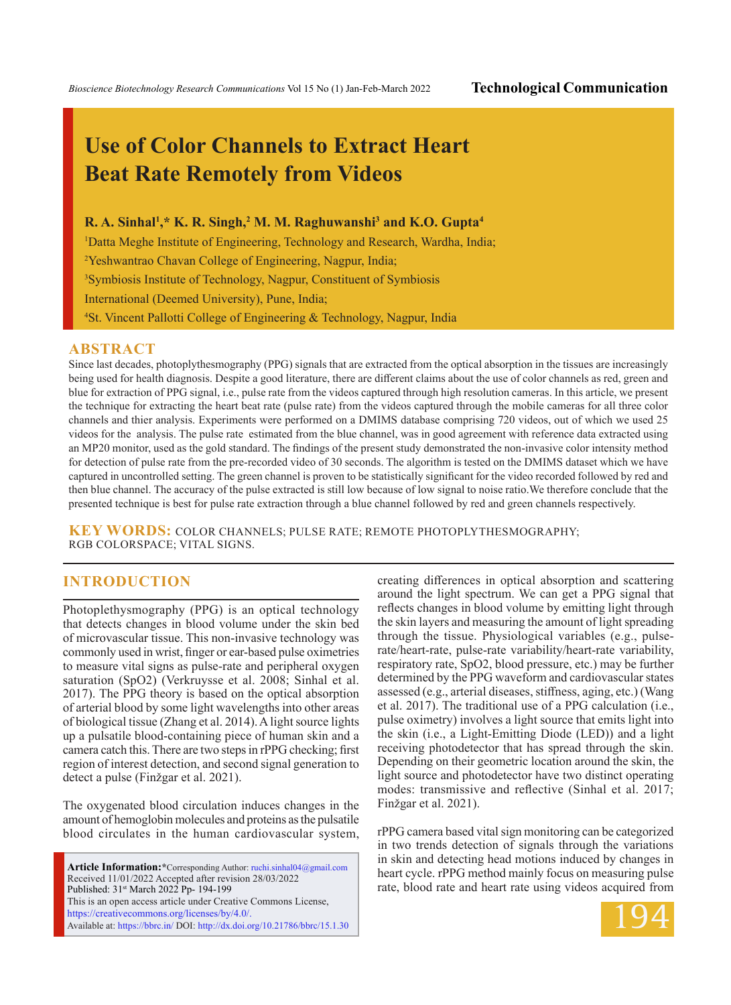*Bioscience Biotechnology Research Communications* Vol 15 No (1) Jan-Feb-March 2022 **Technological Communication**

# **Use of Color Channels to Extract Heart Beat Rate Remotely from Videos**

#### **R. A. Sinhal1 ,\* K. R. Singh,2 M. M. Raghuwanshi3 and K.O. Gupta4**

<sup>1</sup>Datta Meghe Institute of Engineering, Technology and Research, Wardha, India;

2 Yeshwantrao Chavan College of Engineering, Nagpur, India;

3 Symbiosis Institute of Technology, Nagpur, Constituent of Symbiosis

International (Deemed University), Pune, India;

4 St. Vincent Pallotti College of Engineering & Technology, Nagpur, India

#### **ABSTRACT**

Since last decades, photoplythesmography (PPG) signals that are extracted from the optical absorption in the tissues are increasingly being used for health diagnosis. Despite a good literature, there are different claims about the use of color channels as red, green and blue for extraction of PPG signal, i.e., pulse rate from the videos captured through high resolution cameras. In this article, we present the technique for extracting the heart beat rate (pulse rate) from the videos captured through the mobile cameras for all three color channels and thier analysis. Experiments were performed on a DMIMS database comprising 720 videos, out of which we used 25 videos for the analysis. The pulse rate estimated from the blue channel, was in good agreement with reference data extracted using an MP20 monitor, used as the gold standard. The findings of the present study demonstrated the non-invasive color intensity method for detection of pulse rate from the pre-recorded video of 30 seconds. The algorithm is tested on the DMIMS dataset which we have captured in uncontrolled setting. The green channel is proven to be statistically significant for the video recorded followed by red and then blue channel. The accuracy of the pulse extracted is still low because of low signal to noise ratio.We therefore conclude that the presented technique is best for pulse rate extraction through a blue channel followed by red and green channels respectively.

**KEY WORDS:** color channels; pulse rate; remote photoplythesmography; RGB colorspace; vital signs.

## **INTRODUCTION**

Photoplethysmography (PPG) is an optical technology that detects changes in blood volume under the skin bed of microvascular tissue. This non-invasive technology was commonly used in wrist, finger or ear-based pulse oximetries to measure vital signs as pulse-rate and peripheral oxygen saturation (SpO2) (Verkruysse et al. 2008; Sinhal et al. 2017). The PPG theory is based on the optical absorption of arterial blood by some light wavelengths into other areas of biological tissue (Zhang et al. 2014). A light source lights up a pulsatile blood-containing piece of human skin and a camera catch this. There are two steps in rPPG checking; first region of interest detection, and second signal generation to detect a pulse (Finžgar et al. 2021).

The oxygenated blood circulation induces changes in the amount of hemoglobin molecules and proteins as the pulsatile blood circulates in the human cardiovascular system,

**Article Information:\***Corresponding Author: ruchi.sinhal04@gmail.com Received 11/01/2022 Accepted after revision 28/03/2022 Published: 31st March 2022 Pp- 194-199 This is an open access article under Creative Commons License, https://creativecommons.org/licenses/by/4.0/. Available at: https://bbrc.in/ DOI: http://dx.doi.org/10.21786/bbrc/15.1.30 creating differences in optical absorption and scattering around the light spectrum. We can get a PPG signal that reflects changes in blood volume by emitting light through the skin layers and measuring the amount of light spreading through the tissue. Physiological variables (e.g., pulserate/heart-rate, pulse-rate variability/heart-rate variability, respiratory rate, SpO2, blood pressure, etc.) may be further determined by the PPG waveform and cardiovascular states assessed (e.g., arterial diseases, stiffness, aging, etc.) (Wang et al. 2017). The traditional use of a PPG calculation (i.e., pulse oximetry) involves a light source that emits light into the skin (i.e., a Light-Emitting Diode (LED)) and a light receiving photodetector that has spread through the skin. Depending on their geometric location around the skin, the light source and photodetector have two distinct operating modes: transmissive and reflective (Sinhal et al. 2017; Finžgar et al. 2021).

rPPG camera based vital sign monitoring can be categorized in two trends detection of signals through the variations in skin and detecting head motions induced by changes in heart cycle. rPPG method mainly focus on measuring pulse rate, blood rate and heart rate using videos acquired from

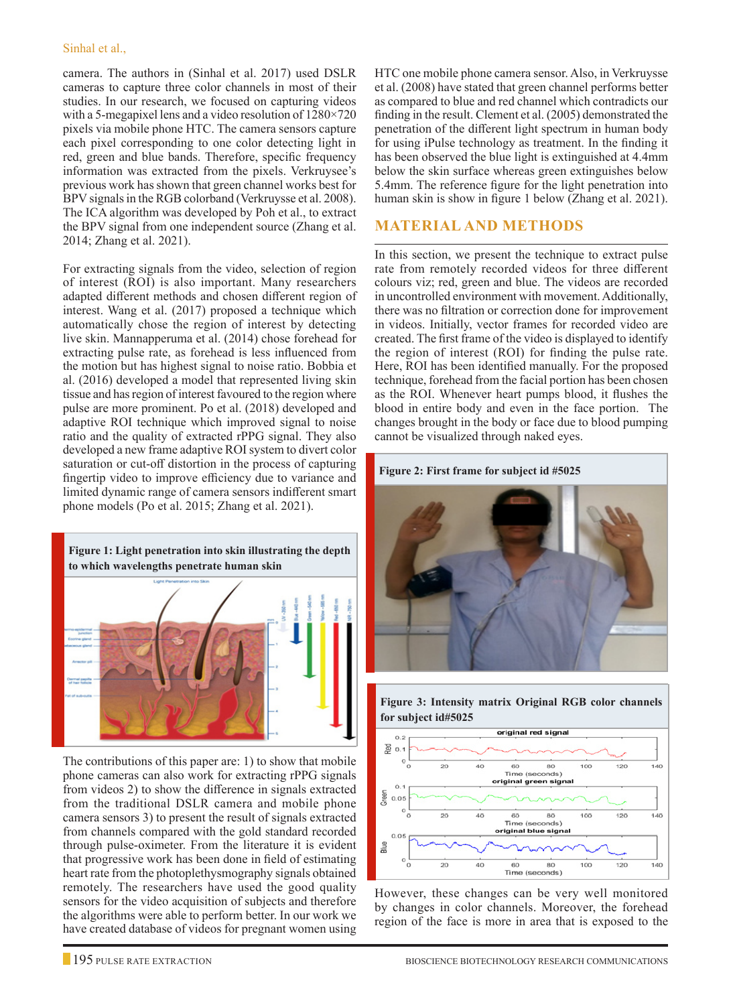#### Sinhal et al.,

camera. The authors in (Sinhal et al. 2017) used DSLR cameras to capture three color channels in most of their studies. In our research, we focused on capturing videos with a 5-megapixel lens and a video resolution of 1280×720 pixels via mobile phone HTC. The camera sensors capture each pixel corresponding to one color detecting light in red, green and blue bands. Therefore, specific frequency information was extracted from the pixels. Verkruysee's previous work has shown that green channel works best for BPV signals in the RGB colorband (Verkruysse et al. 2008). The ICA algorithm was developed by Poh et al., to extract the BPV signal from one independent source (Zhang et al. 2014; Zhang et al. 2021).

For extracting signals from the video, selection of region of interest (ROI) is also important. Many researchers adapted different methods and chosen different region of interest. Wang et al. (2017) proposed a technique which automatically chose the region of interest by detecting live skin. Mannapperuma et al. (2014) chose forehead for extracting pulse rate, as forehead is less influenced from the motion but has highest signal to noise ratio. Bobbia et al. (2016) developed a model that represented living skin tissue and has region of interest favoured to the region where pulse are more prominent. Po et al. (2018) developed and adaptive ROI technique which improved signal to noise ratio and the quality of extracted rPPG signal. They also developed a new frame adaptive ROI system to divert color saturation or cut-off distortion in the process of capturing fingertip video to improve efficiency due to variance and limited dynamic range of camera sensors indifferent smart phone models (Po et al. 2015; Zhang et al. 2021).



The contributions of this paper are: 1) to show that mobile phone cameras can also work for extracting rPPG signals from videos 2) to show the difference in signals extracted from the traditional DSLR camera and mobile phone camera sensors 3) to present the result of signals extracted from channels compared with the gold standard recorded through pulse-oximeter. From the literature it is evident that progressive work has been done in field of estimating heart rate from the photoplethysmography signals obtained remotely. The researchers have used the good quality sensors for the video acquisition of subjects and therefore the algorithms were able to perform better. In our work we have created database of videos for pregnant women using

HTC one mobile phone camera sensor. Also, in Verkruysse et al. (2008) have stated that green channel performs better as compared to blue and red channel which contradicts our finding in the result. Clement et al. (2005) demonstrated the penetration of the different light spectrum in human body for using iPulse technology as treatment. In the finding it has been observed the blue light is extinguished at 4.4mm below the skin surface whereas green extinguishes below 5.4mm. The reference figure for the light penetration into human skin is show in figure 1 below (Zhang et al. 2021).

### **MATERIAL AND METHODS**

In this section, we present the technique to extract pulse rate from remotely recorded videos for three different colours viz; red, green and blue. The videos are recorded in uncontrolled environment with movement. Additionally, there was no filtration or correction done for improvement in videos. Initially, vector frames for recorded video are created. The first frame of the video is displayed to identify the region of interest (ROI) for finding the pulse rate. Here, ROI has been identified manually. For the proposed technique, forehead from the facial portion has been chosen as the ROI. Whenever heart pumps blood, it flushes the blood in entire body and even in the face portion. The changes brought in the body or face due to blood pumping cannot be visualized through naked eyes.





**Figure 3: Intensity matrix Original RGB color channels** 

However, these changes can be very well monitored by changes in color channels. Moreover, the forehead region of the face is more in area that is exposed to the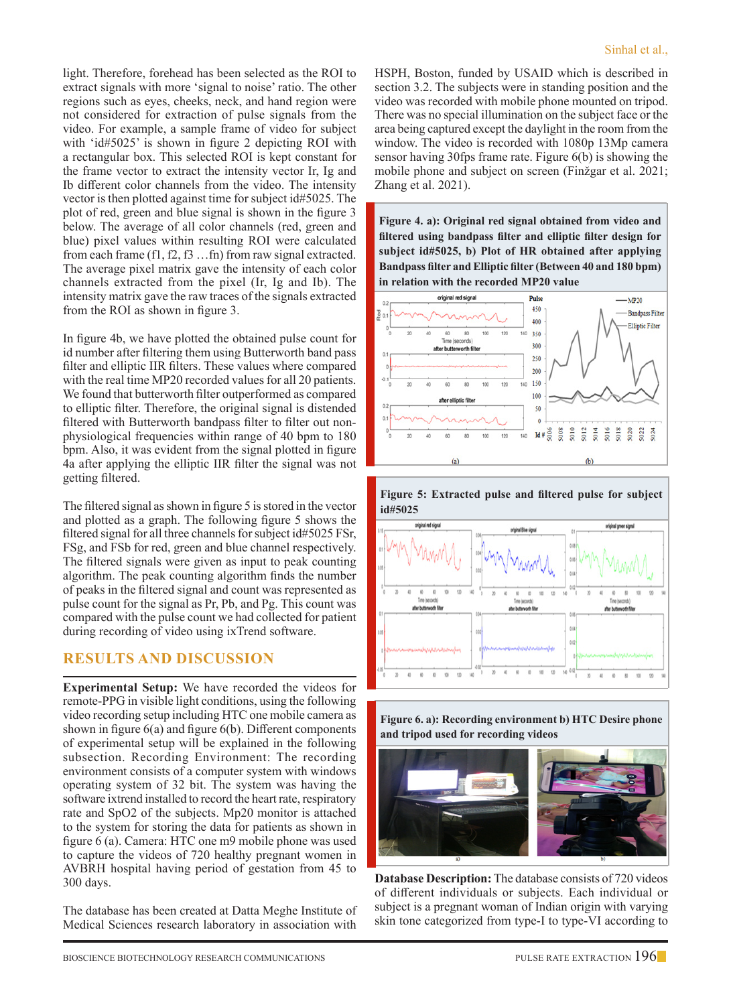light. Therefore, forehead has been selected as the ROI to extract signals with more 'signal to noise' ratio. The other regions such as eyes, cheeks, neck, and hand region were not considered for extraction of pulse signals from the video. For example, a sample frame of video for subject with 'id#5025' is shown in figure 2 depicting ROI with a rectangular box. This selected ROI is kept constant for the frame vector to extract the intensity vector Ir, Ig and Ib different color channels from the video. The intensity vector is then plotted against time for subject id#5025. The plot of red, green and blue signal is shown in the figure 3 below. The average of all color channels (red, green and blue) pixel values within resulting ROI were calculated from each frame (f1, f2, f3 …fn) from raw signal extracted. The average pixel matrix gave the intensity of each color channels extracted from the pixel (Ir, Ig and Ib). The intensity matrix gave the raw traces of the signals extracted from the ROI as shown in figure 3.

In figure 4b, we have plotted the obtained pulse count for id number after filtering them using Butterworth band pass filter and elliptic IIR filters. These values where compared with the real time MP20 recorded values for all 20 patients. We found that butterworth filter outperformed as compared to elliptic filter. Therefore, the original signal is distended filtered with Butterworth bandpass filter to filter out nonphysiological frequencies within range of 40 bpm to 180 bpm. Also, it was evident from the signal plotted in figure 4a after applying the elliptic IIR filter the signal was not getting filtered.

The filtered signal as shown in figure 5 is stored in the vector and plotted as a graph. The following figure 5 shows the filtered signal for all three channels for subject id#5025 FSr, FSg, and FSb for red, green and blue channel respectively. The filtered signals were given as input to peak counting algorithm. The peak counting algorithm finds the number of peaks in the filtered signal and count was represented as pulse count for the signal as Pr, Pb, and Pg. This count was compared with the pulse count we had collected for patient during recording of video using ixTrend software.

## **RESULTS AND DISCUSSION**

**Experimental Setup:** We have recorded the videos for remote-PPG in visible light conditions, using the following video recording setup including HTC one mobile camera as shown in figure 6(a) and figure 6(b). Different components of experimental setup will be explained in the following subsection. Recording Environment: The recording environment consists of a computer system with windows operating system of 32 bit. The system was having the software ixtrend installed to record the heart rate, respiratory rate and SpO2 of the subjects. Mp20 monitor is attached to the system for storing the data for patients as shown in figure 6 (a). Camera: HTC one m9 mobile phone was used to capture the videos of 720 healthy pregnant women in AVBRH hospital having period of gestation from 45 to 300 days.

The database has been created at Datta Meghe Institute of Medical Sciences research laboratory in association with HSPH, Boston, funded by USAID which is described in section 3.2. The subjects were in standing position and the video was recorded with mobile phone mounted on tripod. There was no special illumination on the subject face or the area being captured except the daylight in the room from the window. The video is recorded with 1080p 13Mp camera sensor having 30fps frame rate. Figure 6(b) is showing the mobile phone and subject on screen (Finžgar et al. 2021; Zhang et al. 2021).

**Figure 4. a): Original red signal obtained from video and filtered using bandpass filter and elliptic filter design for subject id#5025, b) Plot of HR obtained after applying Bandpass filter and Elliptic filter (Between 40 and 180 bpm) in relation with the recorded MP20 value**







**Database Description:** The database consists of 720 videos of different individuals or subjects. Each individual or subject is a pregnant woman of Indian origin with varying skin tone categorized from type-I to type-VI according to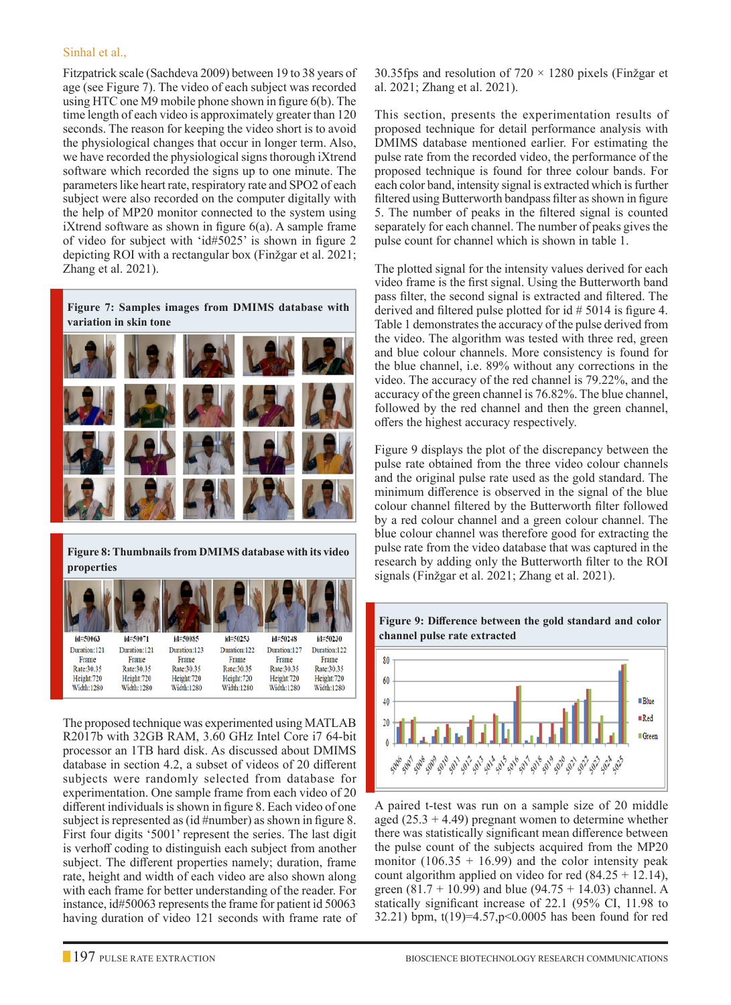#### Sinhal et al.,

Fitzpatrick scale (Sachdeva 2009) between 19 to 38 years of age (see Figure 7). The video of each subject was recorded using HTC one M9 mobile phone shown in figure 6(b). The time length of each video is approximately greater than 120 seconds. The reason for keeping the video short is to avoid the physiological changes that occur in longer term. Also, we have recorded the physiological signs thorough iXtrend software which recorded the signs up to one minute. The parameters like heart rate, respiratory rate and SPO2 of each subject were also recorded on the computer digitally with the help of MP20 monitor connected to the system using iXtrend software as shown in figure 6(a). A sample frame of video for subject with 'id#5025' is shown in figure 2 depicting ROI with a rectangular box (Finžgar et al. 2021; Zhang et al. 2021).

| Figure 7: Samples images from DMIMS database with<br>variation in skin tone |  |  |  |  |  |  |  |
|-----------------------------------------------------------------------------|--|--|--|--|--|--|--|
|                                                                             |  |  |  |  |  |  |  |
|                                                                             |  |  |  |  |  |  |  |
|                                                                             |  |  |  |  |  |  |  |
|                                                                             |  |  |  |  |  |  |  |

**Figure 8: Thumbnails from DMIMS database with its video properties**



The proposed technique was experimented using MATLAB R2017b with 32GB RAM, 3.60 GHz Intel Core i7 64-bit processor an 1TB hard disk. As discussed about DMIMS database in section 4.2, a subset of videos of 20 different subjects were randomly selected from database for experimentation. One sample frame from each video of 20 different individuals is shown in figure 8. Each video of one subject is represented as (id #number) as shown in figure 8. First four digits '5001' represent the series. The last digit is verhoff coding to distinguish each subject from another subject. The different properties namely; duration, frame rate, height and width of each video are also shown along with each frame for better understanding of the reader. For instance, id#50063 represents the frame for patient id 50063 having duration of video 121 seconds with frame rate of

30.35fps and resolution of  $720 \times 1280$  pixels (Finžgar et al. 2021; Zhang et al. 2021).

This section, presents the experimentation results of proposed technique for detail performance analysis with DMIMS database mentioned earlier. For estimating the pulse rate from the recorded video, the performance of the proposed technique is found for three colour bands. For each color band, intensity signal is extracted which is further filtered using Butterworth bandpass filter as shown in figure 5. The number of peaks in the filtered signal is counted separately for each channel. The number of peaks gives the pulse count for channel which is shown in table 1.

The plotted signal for the intensity values derived for each video frame is the first signal. Using the Butterworth band pass filter, the second signal is extracted and filtered. The derived and filtered pulse plotted for id # 5014 is figure 4. Table 1 demonstrates the accuracy of the pulse derived from the video. The algorithm was tested with three red, green and blue colour channels. More consistency is found for the blue channel, i.e. 89% without any corrections in the video. The accuracy of the red channel is 79.22%, and the accuracy of the green channel is 76.82%. The blue channel, followed by the red channel and then the green channel, offers the highest accuracy respectively.

Figure 9 displays the plot of the discrepancy between the pulse rate obtained from the three video colour channels and the original pulse rate used as the gold standard. The minimum difference is observed in the signal of the blue colour channel filtered by the Butterworth filter followed by a red colour channel and a green colour channel. The blue colour channel was therefore good for extracting the pulse rate from the video database that was captured in the research by adding only the Butterworth filter to the ROI signals (Finžgar et al. 2021; Zhang et al. 2021).



A paired t-test was run on a sample size of 20 middle aged  $(25.3 + 4.49)$  pregnant women to determine whether there was statistically significant mean difference between the pulse count of the subjects acquired from the MP20 monitor  $(106.35 + 16.99)$  and the color intensity peak count algorithm applied on video for red  $(84.25 + 12.14)$ , green (81.7 + 10.99) and blue (94.75 + 14.03) channel. A statically significant increase of 22.1 (95% CI, 11.98 to 32.21) bpm, t(19)=4.57,p<0.0005 has been found for red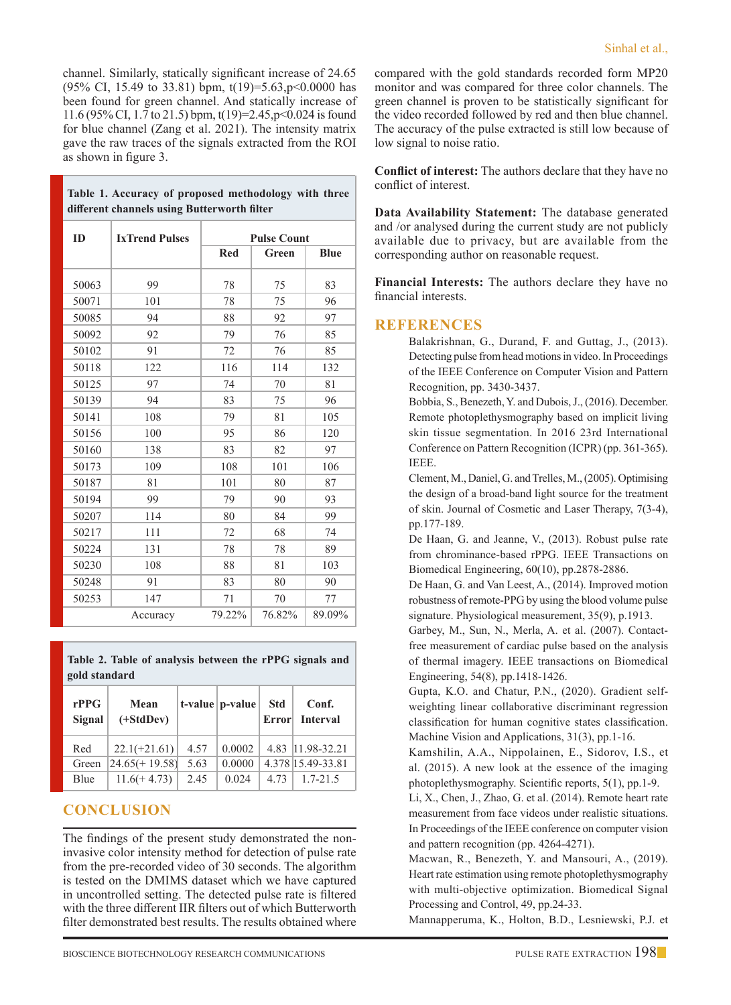channel. Similarly, statically significant increase of 24.65  $(95\% \text{ CI}, 15.49 \text{ to } 33.81)$  bpm,  $t(19)=5.63, p<0.0000$  has been found for green channel. And statically increase of 11.6 (95% CI, 1.7 to 21.5) bpm, t(19)=2.45,p<0.024 is found for blue channel (Zang et al. 2021). The intensity matrix gave the raw traces of the signals extracted from the ROI as shown in figure 3.

**Table 1. Accuracy of proposed methodology with three** 

| different channels using Butterworth filter |                       |                    |        |             |  |  |  |
|---------------------------------------------|-----------------------|--------------------|--------|-------------|--|--|--|
| ID                                          | <b>IxTrend Pulses</b> | <b>Pulse Count</b> |        |             |  |  |  |
|                                             |                       | <b>Red</b>         | Green  | <b>Blue</b> |  |  |  |
| 50063                                       | 99                    | 78                 | 75     | 83          |  |  |  |
| 50071                                       | 101                   | 78                 | 75     | 96          |  |  |  |
| 50085                                       | 94                    | 88                 | 92     | 97          |  |  |  |
| 50092                                       | 92                    | 79                 | 76     | 85          |  |  |  |
| 50102                                       | 91                    | 72                 | 76     | 85          |  |  |  |
| 50118                                       | 122                   | 116                | 114    | 132         |  |  |  |
| 50125                                       | 97                    | 74                 | 70     | 81          |  |  |  |
| 50139                                       | 94                    | 83                 | 75     | 96          |  |  |  |
| 50141                                       | 108                   | 79                 | 81     | 105         |  |  |  |
| 50156                                       | 100                   | 95                 | 86     | 120         |  |  |  |
| 50160                                       | 138                   | 83                 | 82     | 97          |  |  |  |
| 50173                                       | 109                   | 108                | 101    | 106         |  |  |  |
| 50187                                       | 81                    | 101                | 80     | 87          |  |  |  |
| 50194                                       | 99                    | 79                 | 90     | 93          |  |  |  |
| 50207                                       | 114                   | 80                 | 84     | 99          |  |  |  |
| 50217                                       | 111                   | 72                 | 68     | 74          |  |  |  |
| 50224                                       | 131                   | 78                 | 78     | 89          |  |  |  |
| 50230                                       | 108                   | 88                 | 81     | 103         |  |  |  |
| 50248                                       | 91                    | 83                 | 80     | 90          |  |  |  |
| 50253                                       | 147                   | 71                 | 70     | 77          |  |  |  |
|                                             | Accuracy              | 79.22%             | 76.82% | 89.09%      |  |  |  |

**Table 2. Table of analysis between the rPPG signals and gold standard**

| rPPG<br>Signal | Mean<br>$(+StdDev)$ |      | $t$ -value   $p$ -value | <b>Std</b> | Conf.<br>Error Interval |
|----------------|---------------------|------|-------------------------|------------|-------------------------|
| Red            | $22.1(+21.61)$      | 4.57 | 0.0002                  |            | 4.83 11.98-32.21        |
| Green          | $ 24.65(+19.58) $   | 5.63 | 0.0000                  |            | 4.378 15.49-33.81       |
| Blue           | $11.6(+4.73)$       | 2.45 | 0.024                   | 4.73       | $1.7 - 21.5$            |

## **CONCLUSION**

The findings of the present study demonstrated the noninvasive color intensity method for detection of pulse rate from the pre-recorded video of 30 seconds. The algorithm is tested on the DMIMS dataset which we have captured in uncontrolled setting. The detected pulse rate is filtered with the three different IIR filters out of which Butterworth filter demonstrated best results. The results obtained where compared with the gold standards recorded form MP20 monitor and was compared for three color channels. The green channel is proven to be statistically significant for the video recorded followed by red and then blue channel. The accuracy of the pulse extracted is still low because of low signal to noise ratio.

**Conflict of interest:** The authors declare that they have no conflict of interest.

**Data Availability Statement:** The database generated and /or analysed during the current study are not publicly available due to privacy, but are available from the corresponding author on reasonable request.

**Financial Interests:** The authors declare they have no financial interests.

## **REFERENCES**

Balakrishnan, G., Durand, F. and Guttag, J., (2013). Detecting pulse from head motions in video. In Proceedings of the IEEE Conference on Computer Vision and Pattern Recognition, pp. 3430-3437.

Bobbia, S., Benezeth, Y. and Dubois, J., (2016). December. Remote photoplethysmography based on implicit living skin tissue segmentation. In 2016 23rd International Conference on Pattern Recognition (ICPR) (pp. 361-365). IEEE.

 Clement, M., Daniel, G. and Trelles, M., (2005). Optimising the design of a broad‐band light source for the treatment of skin. Journal of Cosmetic and Laser Therapy, 7(3-4), pp.177-189.

De Haan, G. and Jeanne, V., (2013). Robust pulse rate from chrominance-based rPPG. IEEE Transactions on Biomedical Engineering, 60(10), pp.2878-2886.

De Haan, G. and Van Leest, A., (2014). Improved motion robustness of remote-PPG by using the blood volume pulse signature. Physiological measurement, 35(9), p.1913.

Garbey, M., Sun, N., Merla, A. et al. (2007). Contactfree measurement of cardiac pulse based on the analysis of thermal imagery. IEEE transactions on Biomedical Engineering, 54(8), pp.1418-1426.

Gupta, K.O. and Chatur, P.N., (2020). Gradient selfweighting linear collaborative discriminant regression classification for human cognitive states classification. Machine Vision and Applications, 31(3), pp.1-16.

Kamshilin, A.A., Nippolainen, E., Sidorov, I.S., et al. (2015). A new look at the essence of the imaging photoplethysmography. Scientific reports, 5(1), pp.1-9.

 Li, X., Chen, J., Zhao, G. et al. (2014). Remote heart rate measurement from face videos under realistic situations. In Proceedings of the IEEE conference on computer vision and pattern recognition (pp. 4264-4271).

Macwan, R., Benezeth, Y. and Mansouri, A., (2019). Heart rate estimation using remote photoplethysmography with multi-objective optimization. Biomedical Signal Processing and Control, 49, pp.24-33.

Mannapperuma, K., Holton, B.D., Lesniewski, P.J. et